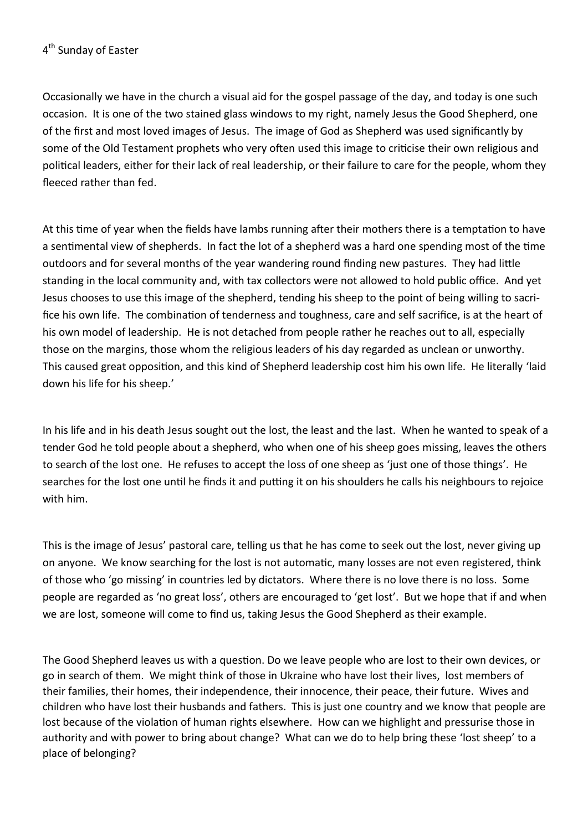Occasionally we have in the church a visual aid for the gospel passage of the day, and today is one such occasion. It is one of the two stained glass windows to my right, namely Jesus the Good Shepherd, one of the first and most loved images of Jesus. The image of God as Shepherd was used significantly by some of the Old Testament prophets who very often used this image to criticise their own religious and political leaders, either for their lack of real leadership, or their failure to care for the people, whom they fleeced rather than fed.

At this time of year when the fields have lambs running after their mothers there is a temptation to have a sentimental view of shepherds. In fact the lot of a shepherd was a hard one spending most of the time outdoors and for several months of the year wandering round finding new pastures. They had little standing in the local community and, with tax collectors were not allowed to hold public office. And yet Jesus chooses to use this image of the shepherd, tending his sheep to the point of being willing to sacrifice his own life. The combination of tenderness and toughness, care and self sacrifice, is at the heart of his own model of leadership. He is not detached from people rather he reaches out to all, especially those on the margins, those whom the religious leaders of his day regarded as unclean or unworthy. This caused great opposition, and this kind of Shepherd leadership cost him his own life. He literally 'laid down his life for his sheep.'

In his life and in his death Jesus sought out the lost, the least and the last. When he wanted to speak of a tender God he told people about a shepherd, who when one of his sheep goes missing, leaves the others to search of the lost one. He refuses to accept the loss of one sheep as 'just one of those things'. He searches for the lost one until he finds it and putting it on his shoulders he calls his neighbours to rejoice with him.

This is the image of Jesus' pastoral care, telling us that he has come to seek out the lost, never giving up on anyone. We know searching for the lost is not automatic, many losses are not even registered, think of those who 'go missing' in countries led by dictators. Where there is no love there is no loss. Some people are regarded as 'no great loss', others are encouraged to 'get lost'. But we hope that if and when we are lost, someone will come to find us, taking Jesus the Good Shepherd as their example.

The Good Shepherd leaves us with a question. Do we leave people who are lost to their own devices, or go in search of them. We might think of those in Ukraine who have lost their lives, lost members of their families, their homes, their independence, their innocence, their peace, their future. Wives and children who have lost their husbands and fathers. This is just one country and we know that people are lost because of the violation of human rights elsewhere. How can we highlight and pressurise those in authority and with power to bring about change? What can we do to help bring these 'lost sheep' to a place of belonging?